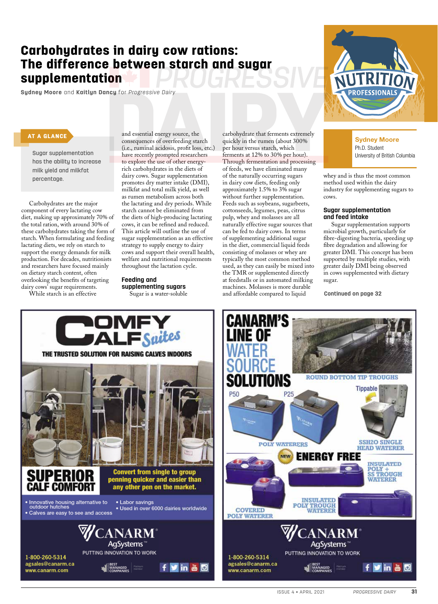# Carbohydrates in dairy cow rations: The difference between starch and sugar supplementation

**Sydney Moore** and **Kaitlyn Dancy** for *Progressive Dairy*



## AT A GLANCE

Sugar supplementation has the ability to increase milk yield and milkfat percentage.

Carbohydrates are the major component of every lactating cow diet, making up approximately 70% of the total ration, with around 30% of these carbohydrates taking the form of starch. When formulating and feeding lactating diets, we rely on starch to support the energy demands for milk production. For decades, nutritionists and researchers have focused mainly on dietary starch content, often overlooking the benefits of targeting dairy cows' sugar requirements.

While starch is an effective

and essential energy source, the consequences of overfeeding starch (i.e., ruminal acidosis, profit loss, etc.) have recently prompted researchers to explore the use of other energyrich carbohydrates in the diets of dairy cows. Sugar supplementation promotes dry matter intake (DMI), milkfat and total milk yield, as well as rumen metabolism across both the lactating and dry periods. While starch cannot be eliminated from the diets of high-producing lactating cows, it can be refined and reduced. This article will outline the use of sugar supplementation as an effective strategy to supply energy to dairy cows and support their overall health, welfare and nutritional requirements throughout the lactation cycle.

**Feeding and supplementing sugars** Sugar is a water-soluble

carbohydrate that ferments extremely quickly in the rumen (about 300% per hour versus starch, which ferments at 12% to 30% per hour). Through fermentation and processing of feeds, we have eliminated many of the naturally occurring sugars in dairy cow diets, feeding only approximately 1.5% to 3% sugar without further supplementation. Feeds such as soybeans, sugarbeets, cottonseeds, legumes, peas, citrus pulp, whey and molasses are all naturally effective sugar sources that can be fed to dairy cows. In terms of supplementing additional sugar in the diet, commercial liquid feeds consisting of molasses or whey are typically the most common method used, as they can easily be mixed into the TMR or supplemented directly at feedstalls or in automated milking machines. Molasses is more durable and affordable compared to liquid



whey and is thus the most common method used within the dairy industry for supplementing sugars to cows.

#### **Sugar supplementation and feed intake**

Sugar supplementation supports microbial growth, particularly for fibre-digesting bacteria, speeding up fibre degradation and allowing for greater DMI. This concept has been supported by multiple studies, with greater daily DMI being observed in cows supplemented with dietary sugar.

**Continued on page 32**